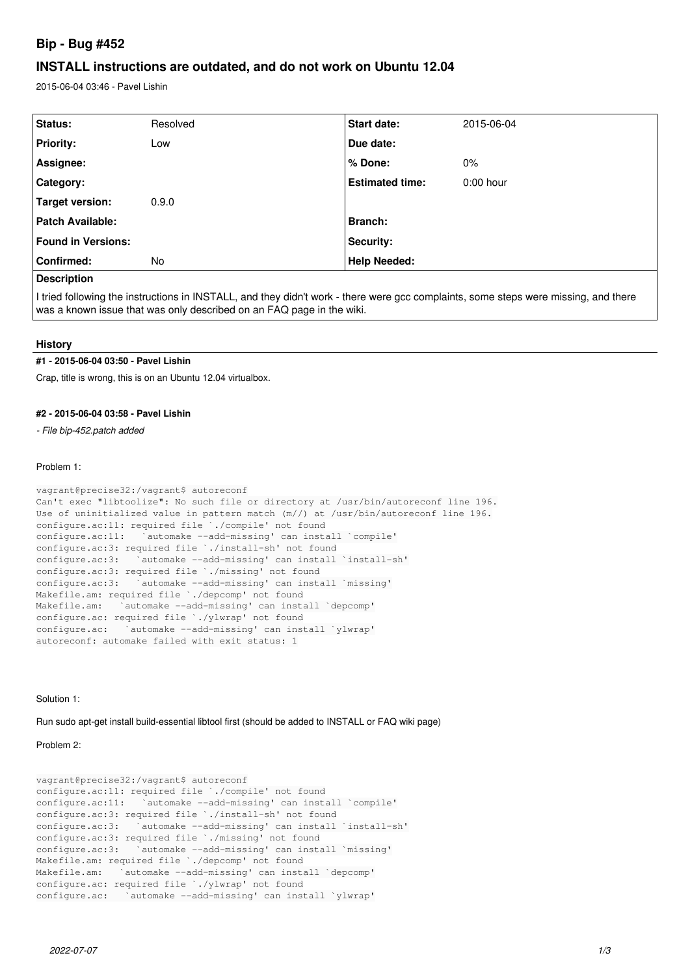# **Bip - Bug #452**

# **INSTALL instructions are outdated, and do not work on Ubuntu 12.04**

2015-06-04 03:46 - Pavel Lishin

| Status:                   | Resolved | <b>Start date:</b>     | 2015-06-04  |
|---------------------------|----------|------------------------|-------------|
| <b>Priority:</b>          | Low      | Due date:              |             |
| Assignee:                 |          | l % Done:              | 0%          |
| Category:                 |          | <b>Estimated time:</b> | $0:00$ hour |
| Target version:           | 0.9.0    |                        |             |
| <b>Patch Available:</b>   |          | <b>Branch:</b>         |             |
| <b>Found in Versions:</b> |          | <b>Security:</b>       |             |
| Confirmed:                | No       | <b>Help Needed:</b>    |             |
| <b>Description</b>        |          |                        |             |

I tried following the instructions in INSTALL, and they didn't work - there were gcc complaints, some steps were missing, and there was a known issue that was only described on an FAQ page in the wiki.

#### **History**

#### **#1 - 2015-06-04 03:50 - Pavel Lishin**

Crap, title is wrong, this is on an Ubuntu 12.04 virtualbox.

### **#2 - 2015-06-04 03:58 - Pavel Lishin**

*- File bip-452.patch added*

#### Problem 1:

```
vagrant@precise32:/vagrant$ autoreconf
Can't exec "libtoolize": No such file or directory at /usr/bin/autoreconf line 196.
Use of uninitialized value in pattern match (m//) at /usr/bin/autoreconf line 196.
configure.ac:11: required file `./compile' not found
configure.ac:11:   `automake --add-missing' can install `compile'
configure.ac:3: required file `./install-sh' not found
configure.ac:3:   `automake --add-missing' can install `install-sh'
configure.ac:3: required file `./missing' not found
configure.ac:3:   `automake --add-missing' can install `missing'
Makefile.am: required file `./depcomp' not found
Makefile.am: `automake --add-missing' can install `depcomp'
configure.ac: required file `./ylwrap' not found
configure.ac:   `automake --add-missing' can install `ylwrap'
autoreconf: automake failed with exit status: 1
```
Solution 1:

Run sudo apt-get install build-essential libtool first (should be added to INSTALL or FAQ wiki page)

Problem 2:

```
vagrant@precise32:/vagrant$ autoreconf
configure.ac:11: required file `./compile' not found
configure.ac:11:   `automake --add-missing' can install `compile'
configure.ac:3: required file `./install-sh' not found
configure.ac:3:   `automake --add-missing' can install `install-sh'
configure.ac:3: required file `./missing' not found
configure.ac:3:   `automake --add-missing' can install `missing'
Makefile.am: required file `./depcomp' not found
Makefile.am: `automake --add-missing' can install `depcomp'
configure.ac: required file `./ylwrap' not found
configure.ac:   `automake --add-missing' can install `ylwrap'
```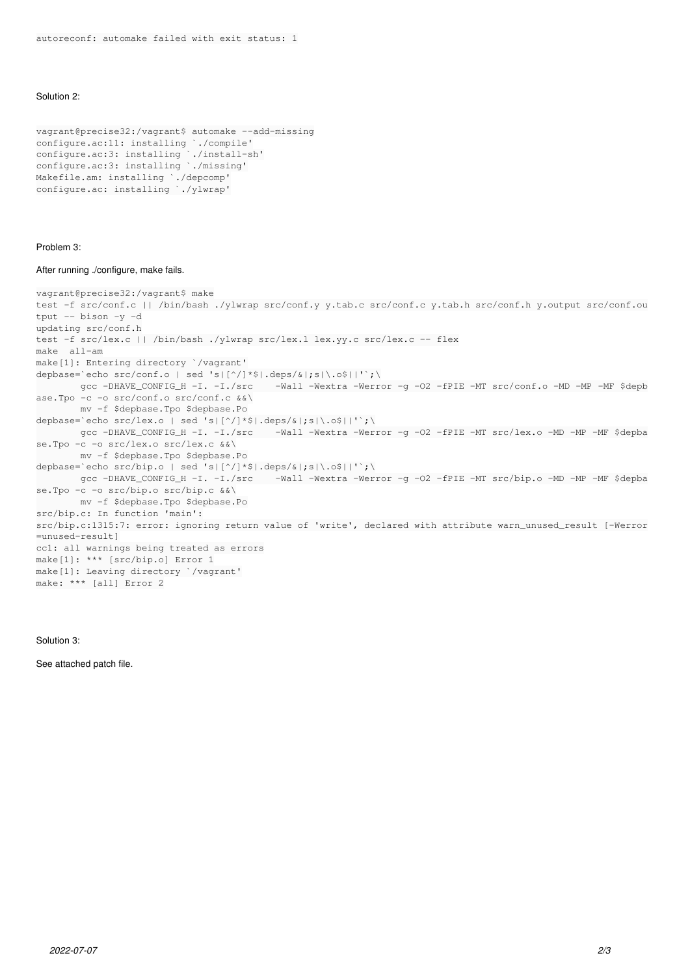### Solution 2:

```
vagrant@precise32:/vagrant$ automake --add-missing
configure.ac:11: installing `./compile'
configure.ac:3: installing `./install-sh'
configure.ac:3: installing `./missing'
Makefile.am: installing `./depcomp'
configure.ac: installing `./ylwrap'
```
#### Problem 3:

#### After running ./configure, make fails.

```
vagrant@precise32:/vagrant$ make
test -f src/conf.c || /bin/bash ./ylwrap src/conf.y y.tab.c src/conf.c y.tab.h src/conf.h y.output src/conf.ou
tput -- bison -y -d
updating src/conf.h
test -f src/lex.c || /bin/bash ./ylwrap src/lex.l lex.yy.c src/lex.c -- flex
make  all-am
make[1]: Entering directory `/vagrant'
depbase=`echo src/conf.o | sed 's|[^/]*$|.deps/&|;s|\.o$||'`;\
               gcc -DHAVE_CONFIG_H -I. -I./src    -Wall -Wextra -Werror -g -O2 -fPIE -MT src/conf.o -MD -MP -MF $depb
ase.Tpo -c -o src/conf.o src/conf.c &&\
               mv -f $depbase.Tpo $depbase.Po
depbase=`echo src/lex.o | sed 's|[^/]*$|.deps/&|;s|\.o$||'`;\
               gcc -DHAVE_CONFIG_H -I. -I./src    -Wall -Wextra -Werror -g -O2 -fPIE -MT src/lex.o -MD -MP -MF $depba
se.Tpo -c -o src/lex.o src/lex.c &&\
               mv -f $depbase.Tpo $depbase.Po
depbase=`echo src/bip.o | sed 's|[^/]*$|.deps/&|;s|\.o$||'`;\
               gcc -DHAVE_CONFIG_H -I. -I./src    -Wall -Wextra -Werror -g -O2 -fPIE -MT src/bip.o -MD -MP -MF $depba
se.Tpo -c -o src/bip.o src/bip.c &&\
               mv -f $depbase.Tpo $depbase.Po
src/bip.c: In function 'main':
src/bip.c:1315:7: error: ignoring return value of 'write', declared with attribute warn_unused_result [-Werror
=unused-result]
cc1: all warnings being treated as errors
make[1]: *** [src/bip.o] Error 1
make[1]: Leaving directory `/vagrant'
make: *** [all] Error 2
```
## Solution 3:

See attached patch file.